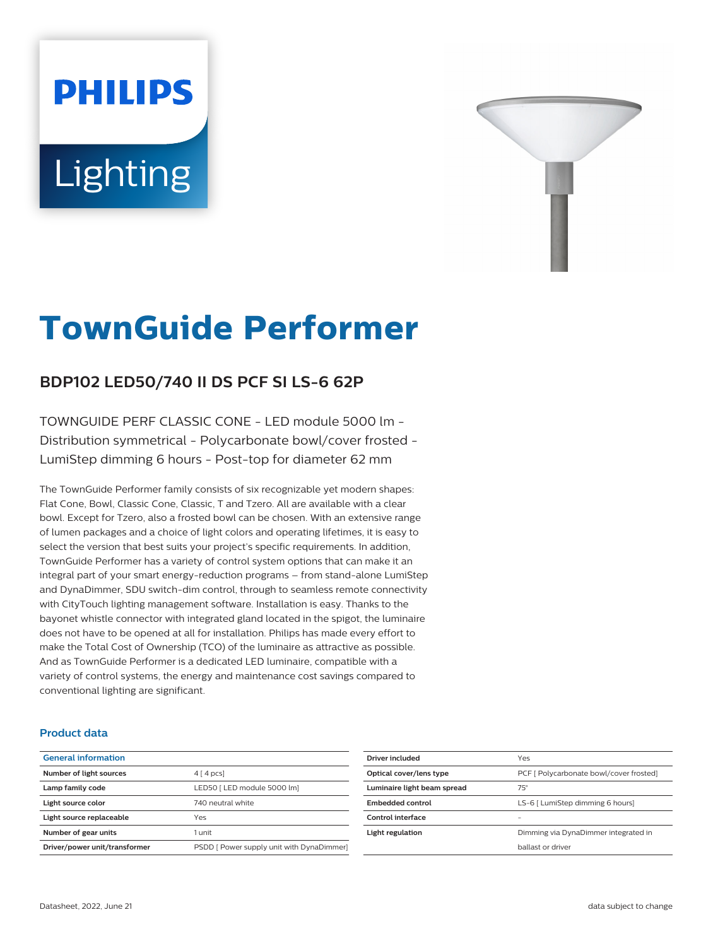# **PHILIPS** Lighting



# **TownGuide Performer**

# **BDP102 LED50/740 II DS PCF SI LS-6 62P**

TOWNGUIDE PERF CLASSIC CONE - LED module 5000 lm - Distribution symmetrical - Polycarbonate bowl/cover frosted - LumiStep dimming 6 hours - Post-top for diameter 62 mm

The TownGuide Performer family consists of six recognizable yet modern shapes: Flat Cone, Bowl, Classic Cone, Classic, T and Tzero. All are available with a clear bowl. Except for Tzero, also a frosted bowl can be chosen. With an extensive range of lumen packages and a choice of light colors and operating lifetimes, it is easy to select the version that best suits your project's specific requirements. In addition, TownGuide Performer has a variety of control system options that can make it an integral part of your smart energy-reduction programs – from stand-alone LumiStep and DynaDimmer, SDU switch-dim control, through to seamless remote connectivity with CityTouch lighting management software. Installation is easy. Thanks to the bayonet whistle connector with integrated gland located in the spigot, the luminaire does not have to be opened at all for installation. Philips has made every effort to make the Total Cost of Ownership (TCO) of the luminaire as attractive as possible. And as TownGuide Performer is a dedicated LED luminaire, compatible with a variety of control systems, the energy and maintenance cost savings compared to conventional lighting are significant.

#### **Product data**

| <b>General information</b>    |                                           |
|-------------------------------|-------------------------------------------|
| Number of light sources       | $4 \mid 4 \mid pcs$                       |
| Lamp family code              | LED50   LED module 5000 lm]               |
| Light source color            | 740 neutral white                         |
| Light source replaceable      | Yes                                       |
| Number of gear units          | 1 unit                                    |
| Driver/power unit/transformer | PSDD [ Power supply unit with DynaDimmer] |

| Driver included             | Yes                                     |
|-----------------------------|-----------------------------------------|
| Optical cover/lens type     | PCF [ Polycarbonate bowl/cover frosted] |
| Luminaire light beam spread | $75^\circ$                              |
| Embedded control            | LS-6 [ LumiStep dimming 6 hours]        |
| Control interface           |                                         |
| Light regulation            | Dimming via DynaDimmer integrated in    |
|                             | hallast or driver                       |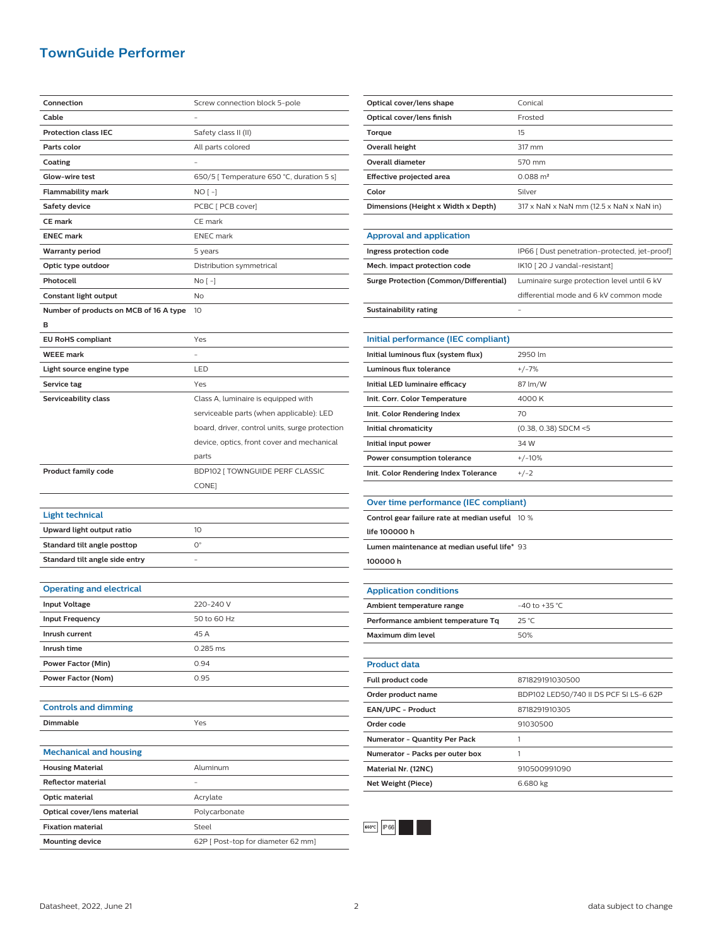### **TownGuide Performer**

| Connection                             | Screw connection block 5-pole                  |
|----------------------------------------|------------------------------------------------|
| Cable                                  |                                                |
| <b>Protection class IEC</b>            | Safety class II (II)                           |
| Parts color                            | All parts colored                              |
| Coating                                |                                                |
| Glow-wire test                         | 650/5 [ Temperature 650 °C, duration 5 s]      |
| Flammability mark                      | NO [ -]                                        |
| <b>Safety device</b>                   | PCBC [ PCB cover]                              |
| <b>CE mark</b>                         | CE mark                                        |
| <b>ENEC mark</b>                       | <b>ENEC</b> mark                               |
| <b>Warranty period</b>                 | 5 years                                        |
| Optic type outdoor                     | Distribution symmetrical                       |
| Photocell                              | No [ -]                                        |
| Constant light output                  | No                                             |
| Number of products on MCB of 16 A type | 10                                             |
| в                                      |                                                |
| <b>EU RoHS compliant</b>               | Yes                                            |
| <b>WEEE</b> mark                       |                                                |
| Light source engine type               | LED                                            |
| Service tag                            | Yes                                            |
| Serviceability class                   | Class A, luminaire is equipped with            |
|                                        | serviceable parts (when applicable): LED       |
|                                        | board, driver, control units, surge protection |
|                                        | device, optics, front cover and mechanical     |
|                                        | parts                                          |
| <b>Product family code</b>             | BDP102 [ TOWNGUIDE PERF CLASSIC                |
|                                        | CONE]                                          |
|                                        |                                                |
| <b>Light technical</b>                 |                                                |
| Upward light output ratio              | 10                                             |
| Standard tilt angle posttop            | $\mathsf{O}^\circ$                             |
| Standard tilt angle side entry         |                                                |
|                                        |                                                |
| <b>Operating and electrical</b>        |                                                |
| <b>Input Voltage</b>                   | 220-240 V                                      |
| <b>Input Frequency</b>                 | 50 to 60 Hz                                    |
| Inrush current                         | 45 A                                           |
| Inrush time                            | 0.285 ms                                       |
| Power Factor (Min)                     | 0.94                                           |
| Power Factor (Nom)                     | 0.95                                           |
|                                        |                                                |
| <b>Controls and dimming</b>            |                                                |
| Dimmable                               | Yes                                            |
|                                        |                                                |
| <b>Mechanical and housing</b>          |                                                |
| <b>Housing Material</b>                | Aluminum                                       |
| <b>Reflector material</b>              |                                                |
| Optic material                         | Acrylate                                       |
| Optical cover/lens material            | Polycarbonate                                  |
| <b>Fixation material</b>               | Steel                                          |
| <b>Mounting device</b>                 | 62P [ Post-top for diameter 62 mm]             |

| Optical cover/lens shape            | Conical                                                              |
|-------------------------------------|----------------------------------------------------------------------|
| Optical cover/lens finish           | Frosted                                                              |
| Torque                              | 15                                                                   |
| Overall height                      | 317 mm                                                               |
| Overall diameter                    | 570 mm                                                               |
| Effective projected area            | $0.088 \text{ m}^2$                                                  |
| Color                               | Silver                                                               |
| Dimensions (Height x Width x Depth) | $317 \times$ NaN $\times$ NaN mm (12.5 $\times$ NaN $\times$ NaN in) |
|                                     |                                                                      |

#### **Approval and application**

| Ingress protection code                | IP66 [ Dust penetration-protected, jet-proof] |
|----------------------------------------|-----------------------------------------------|
| Mech. impact protection code           | IK10 [20 J vandal-resistant]                  |
| Surge Protection (Common/Differential) | Luminaire surge protection level until 6 kV   |
|                                        | differential mode and 6 kV common mode        |
| Sustainability rating                  | -                                             |

| Initial performance (IEC compliant)   |                        |
|---------------------------------------|------------------------|
| Initial luminous flux (system flux)   | 2950 lm                |
| Luminous flux tolerance               | $+/-7%$                |
| Initial LED luminaire efficacy        | 87 lm/W                |
| Init. Corr. Color Temperature         | 4000 K                 |
| Init. Color Rendering Index           | 70                     |
| Initial chromaticity                  | $(0.38, 0.38)$ SDCM <5 |
| Initial input power                   | 34 W                   |
| Power consumption tolerance           | $+/-10%$               |
| Init. Color Rendering Index Tolerance | $+/-2$                 |

#### **Over time performance (IEC compliant)**

| Control gear failure rate at median useful 10 % |  |
|-------------------------------------------------|--|
| life 100000 h                                   |  |
| Lumen maintenance at median useful life* 93     |  |
| 100000h                                         |  |

**Net Weight (Piece)** 6.680 kg

# **Application conditions Ambient temperature range**  $-40$  to +35 °C **Performance ambient temperature Tq** 25 °C **Maximum dim level** 60% **Product data Full product code** 871829191030500 **Order product name** BDP102 LED50/740 II DS PCF SI LS-6 62P **EAN/UPC - Product** 8718291910305 **Order code** 91030500 **Numerator - Quantity Per Pack** 1 **Numerator - Packs per outer box** 1 **Material Nr. (12NC)** 910500991090